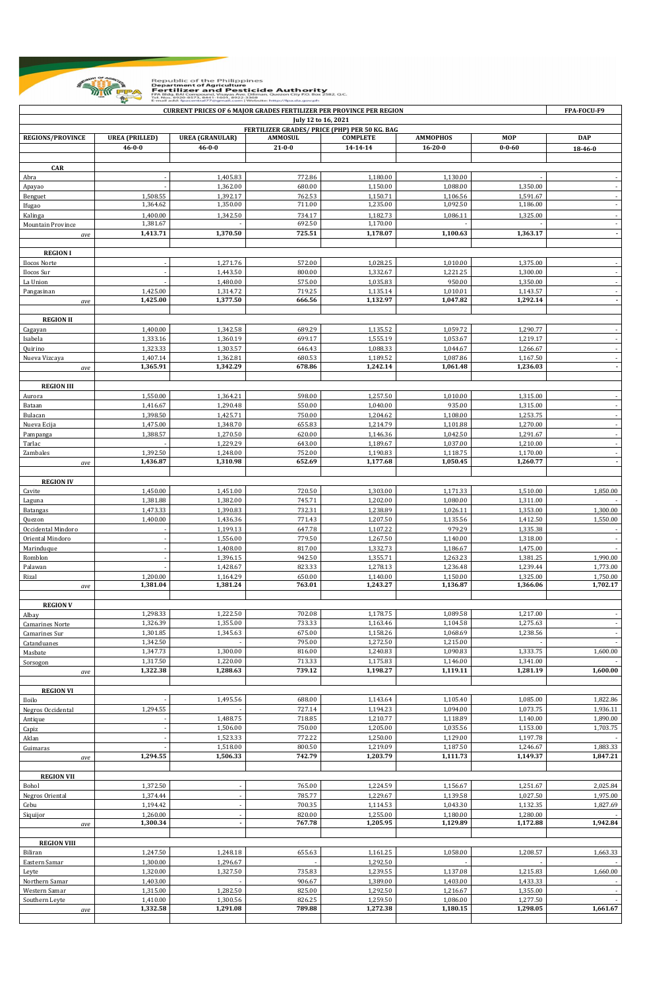

| <b>CURRENT PRICES OF 6 MAJOR GRADES FERTILIZER PER PROVINCE PER REGION</b><br>FPA-FOCU-F9<br>July 12 to 16, 2021<br>FERTILIZER GRADES/ PRICE (PHP) PER 50 KG. BAG |                      |                      |                  |                      |                      |                      |                                                      |  |  |  |  |
|-------------------------------------------------------------------------------------------------------------------------------------------------------------------|----------------------|----------------------|------------------|----------------------|----------------------|----------------------|------------------------------------------------------|--|--|--|--|
|                                                                                                                                                                   |                      |                      |                  |                      |                      |                      |                                                      |  |  |  |  |
|                                                                                                                                                                   | $46 - 0 - 0$         | $46 - 0 - 0$         | $21 - 0 - 0$     | 14-14-14             | $16 - 20 - 0$        | $0 - 0 - 60$         | 18-46-0                                              |  |  |  |  |
|                                                                                                                                                                   |                      |                      |                  |                      |                      |                      |                                                      |  |  |  |  |
| <b>CAR</b>                                                                                                                                                        |                      |                      |                  |                      |                      |                      |                                                      |  |  |  |  |
| Abra                                                                                                                                                              |                      | 1,405.83             | 772.86           | 1,180.00             | 1,130.00             |                      |                                                      |  |  |  |  |
| Apayao                                                                                                                                                            |                      | 1,362.00             | 680.00           | 1,150.00             | 1,088.00             | 1,350.00             |                                                      |  |  |  |  |
| Benguet                                                                                                                                                           | 1,508.55             | 1,392.17             | 762.53           | 1,150.71             | 1,106.56             | 1,591.67             |                                                      |  |  |  |  |
| Ifugao                                                                                                                                                            | 1,364.62             | 1,350.00             | 711.00           | 1,235.00             | 1,092.50             | 1,186.00             | $\sim$                                               |  |  |  |  |
| Kalinga                                                                                                                                                           | 1,400.00             | 1,342.50             | 734.17           | 1,182.73             | 1,086.11             | 1,325.00             |                                                      |  |  |  |  |
| Mountain Province                                                                                                                                                 | 1,381.67             |                      | 692.50           | 1,170.00             |                      |                      | $\sim$                                               |  |  |  |  |
| ave                                                                                                                                                               | 1,413.71             | 1,370.50             | 725.51           | 1,178.07             | 1,100.63             | 1,363.17             | $\overline{\phantom{a}}$                             |  |  |  |  |
|                                                                                                                                                                   |                      |                      |                  |                      |                      |                      |                                                      |  |  |  |  |
| <b>REGION I</b>                                                                                                                                                   |                      |                      |                  |                      |                      |                      |                                                      |  |  |  |  |
| Ilocos Norte                                                                                                                                                      |                      | 1,271.76             | 572.00           | 1,028.25             | 1,010.00             | 1,375.00             |                                                      |  |  |  |  |
| Ilocos Sur                                                                                                                                                        |                      | 1,443.50             | 800.00           | 1,332.67             | 1,221.25             | 1,300.00             |                                                      |  |  |  |  |
| La Union                                                                                                                                                          |                      | 1,480.00             | 575.00           | 1,035.83             | 950.00               | 1,350.00             | $\overline{\phantom{a}}$                             |  |  |  |  |
| Pangasinan                                                                                                                                                        | 1,425.00             | 1,314.72             | 719.25           | 1,135.14             | 1,010.01             | 1,143.57             | $\sim$                                               |  |  |  |  |
| ave                                                                                                                                                               | 1,425.00             | 1,377.50             | 666.56           | 1,132.97             | 1,047.82             | 1,292.14             | $\overline{\phantom{a}}$                             |  |  |  |  |
|                                                                                                                                                                   |                      |                      |                  |                      |                      |                      |                                                      |  |  |  |  |
| <b>REGION II</b>                                                                                                                                                  |                      |                      |                  |                      |                      |                      |                                                      |  |  |  |  |
| Cagayan                                                                                                                                                           | 1,400.00             | 1,342.58             | 689.29           | 1,135.52             | 1,059.72             | 1,290.77             |                                                      |  |  |  |  |
| Isabela                                                                                                                                                           | 1,333.16             | 1,360.19             | 699.17           | 1,555.19             | 1,053.67             | 1,219.17             | $\overline{\phantom{a}}$                             |  |  |  |  |
| Quirino                                                                                                                                                           | 1,323.33             | 1,303.57             | 646.43           | 1,088.33             | 1,044.67             | 1,266.67             |                                                      |  |  |  |  |
| Nueva Vizcaya                                                                                                                                                     | 1,407.14             | 1,362.81             | 680.53           | 1,189.52             | 1,087.86             | 1,167.50             |                                                      |  |  |  |  |
| ave                                                                                                                                                               | 1,365.91             | 1,342.29             | 678.86           | 1,242.14             | 1,061.48             | 1,236.03             | $\overline{\phantom{a}}$                             |  |  |  |  |
|                                                                                                                                                                   |                      |                      |                  |                      |                      |                      |                                                      |  |  |  |  |
| <b>REGION III</b>                                                                                                                                                 |                      |                      |                  |                      |                      |                      |                                                      |  |  |  |  |
| Aurora                                                                                                                                                            | 1,550.00             | 1,364.21             | 598.00           | 1,257.50             | 1,010.00             | 1,315.00             |                                                      |  |  |  |  |
| Bataan                                                                                                                                                            | 1,416.67             | 1,290.48             | 550.00           | 1,040.00             | 935.00               | 1,315.00             |                                                      |  |  |  |  |
| Bulacan                                                                                                                                                           | 1,398.50             | 1,425.71             | 750.00           | 1,204.62             | 1,108.00             | 1,253.75             | $\overline{\phantom{a}}$                             |  |  |  |  |
|                                                                                                                                                                   | 1,475.00             | 1,348.70             | 655.83           | 1,214.79             | 1,101.88             | 1,270.00             |                                                      |  |  |  |  |
| Nueva Ecija                                                                                                                                                       |                      |                      |                  |                      |                      |                      |                                                      |  |  |  |  |
| Pampanga                                                                                                                                                          | 1,388.57             | 1,270.50             | 620.00           | 1,146.36             | 1,042.50             | 1,291.67             | $\overline{\phantom{a}}$                             |  |  |  |  |
| Tarlac                                                                                                                                                            |                      | 1,229.29             | 643.00           | 1,189.67             | 1,037.00             | 1,210.00             |                                                      |  |  |  |  |
| Zambales                                                                                                                                                          | 1,392.50<br>1,436.87 | 1,248.00<br>1,310.98 | 752.00<br>652.69 | 1,190.83<br>1,177.68 | 1,118.75<br>1,050.45 | 1,170.00<br>1,260.77 | $\overline{\phantom{a}}$<br>$\overline{\phantom{a}}$ |  |  |  |  |
| ave                                                                                                                                                               |                      |                      |                  |                      |                      |                      |                                                      |  |  |  |  |
|                                                                                                                                                                   |                      |                      |                  |                      |                      |                      |                                                      |  |  |  |  |
| <b>REGION IV</b>                                                                                                                                                  |                      |                      |                  |                      |                      |                      |                                                      |  |  |  |  |
| Cavite                                                                                                                                                            | 1,450.00             | 1,451.00             | 720.50           | 1,303.00             | 1,171.33             | 1,510.00             | 1,850.00                                             |  |  |  |  |
| Laguna                                                                                                                                                            | 1,381.88             | 1,382.00             | 745.71           | 1,202.00             | 1,080.00             | 1,311.00             |                                                      |  |  |  |  |
| <b>Batangas</b>                                                                                                                                                   | 1,473.33             | 1,390.83             | 732.31           | 1,238.89             | 1,026.11             | 1,353.00             | 1,300.00                                             |  |  |  |  |
| Quezon                                                                                                                                                            | 1,400.00             | 1,436.36             | 771.43           | 1,207.50             | 1,135.56             | 1,412.50             | 1,550.00                                             |  |  |  |  |
| Occidental Mindoro                                                                                                                                                |                      | 1,199.13             | 647.78           | 1,107.22             | 979.29               | 1,335.38             |                                                      |  |  |  |  |
| Oriental Mindoro                                                                                                                                                  |                      | 1,556.00             | 779.50           | 1,267.50             | 1,140.00             | 1,318.00             |                                                      |  |  |  |  |
| Marinduque                                                                                                                                                        |                      | 1,408.00             | 817.00           | 1,332.73             | 1,186.67             | 1,475.00             | $\blacksquare$                                       |  |  |  |  |
| Romblon                                                                                                                                                           |                      | 1,396.15             | 942.50           | 1,355.71             | 1,263.23             | 1,381.25             | 1,990.00                                             |  |  |  |  |
| Palawan                                                                                                                                                           |                      | 1,428.67             | 823.33           | 1,278.13             | 1,236.48             | 1,239.44             | 1,773.00                                             |  |  |  |  |
| Rizal                                                                                                                                                             | 1,200.00             | 1,164.29             | 650.00           | 1,140.00             | 1,150.00             | 1,325.00             | 1,750.00                                             |  |  |  |  |
| ave                                                                                                                                                               | 1,381.04             | 1,381.24             | 763.01           | 1,243.27             | 1,136.87             | 1,366.06             | 1,702.17                                             |  |  |  |  |
|                                                                                                                                                                   |                      |                      |                  |                      |                      |                      |                                                      |  |  |  |  |
| <b>REGION V</b>                                                                                                                                                   |                      |                      |                  |                      |                      |                      |                                                      |  |  |  |  |
| Albay                                                                                                                                                             | 1,298.33             | 1,222.50             | 702.08           | 1,178.75             | 1,089.58             | 1,217.00             | $\sim$                                               |  |  |  |  |
| Camarines Norte                                                                                                                                                   | 1,326.39             | 1,355.00             | 733.33           | 1,163.46             | 1,104.58             | 1,275.63             | $\sim$                                               |  |  |  |  |
| Camarines Sur                                                                                                                                                     | 1,301.85             | 1,345.63             | 675.00           | 1,158.26             | 1,068.69             | 1,238.56             | $\sim$                                               |  |  |  |  |
| Catanduanes                                                                                                                                                       | 1,342.50             |                      | 795.00           | 1,272.50             | 1,215.00             |                      | $\sim$                                               |  |  |  |  |
| Masbate                                                                                                                                                           | 1,347.73             | 1,300.00             | 816.00           | 1,240.83             | 1,090.83             | 1,333.75             | 1,600.00                                             |  |  |  |  |
| Sorsogon                                                                                                                                                          | 1,317.50             | 1,220.00             | 713.33           | 1,175.83             | 1,146.00             | 1,341.00             |                                                      |  |  |  |  |
| ave                                                                                                                                                               | 1,322.38             | 1,288.63             | 739.12           | 1,198.27             | 1,119.11             | 1,281.19             | 1,600.00                                             |  |  |  |  |
|                                                                                                                                                                   |                      |                      |                  |                      |                      |                      |                                                      |  |  |  |  |
| <b>REGION VI</b>                                                                                                                                                  |                      |                      |                  |                      |                      |                      |                                                      |  |  |  |  |
| Iloilo                                                                                                                                                            |                      | 1,495.56             | 688.00           | 1,143.64             | 1,105.40             | 1,085.00             | 1,822.86                                             |  |  |  |  |
| Negros Occidental                                                                                                                                                 | 1,294.55             |                      | 727.14           | 1,194.23             | 1,094.00             | 1,073.75             | 1,936.11                                             |  |  |  |  |
| Antique                                                                                                                                                           |                      | 1,488.75             | 718.85           | 1,210.77             | 1,118.89             | 1,140.00             | 1,890.00                                             |  |  |  |  |
| Capiz                                                                                                                                                             |                      | 1,506.00             | 750.00           | 1,205.00             | 1,035.56             | 1,153.00             | 1,703.75                                             |  |  |  |  |
| Aklan                                                                                                                                                             |                      | 1,523.33             | 772.22           | 1,250.00             | 1,129.00             | 1,197.78             |                                                      |  |  |  |  |
| Guimaras                                                                                                                                                          |                      | 1,518.00             | 800.50           | 1,219.09             | 1,187.50             | 1,246.67             | 1,883.33                                             |  |  |  |  |
| ave                                                                                                                                                               | 1,294.55             | 1,506.33             | 742.79           | 1,203.79             | 1,111.73             | 1,149.37             | 1,847.21                                             |  |  |  |  |
|                                                                                                                                                                   |                      |                      |                  |                      |                      |                      |                                                      |  |  |  |  |
| <b>REGION VII</b>                                                                                                                                                 |                      |                      |                  |                      |                      |                      |                                                      |  |  |  |  |
| Bohol                                                                                                                                                             | 1,372.50             |                      | 765.00           | 1,224.59             | 1,156.67             | 1,251.67             | 2,025.84                                             |  |  |  |  |
| Negros Oriental                                                                                                                                                   | 1,374.44             |                      | 785.77           | 1,229.67             | 1,139.58             | 1,027.50             | 1,975.00                                             |  |  |  |  |
| Cebu                                                                                                                                                              | 1,194.42             |                      | 700.35           | 1,114.53             | 1,043.30             | 1,132.35             | 1,827.69                                             |  |  |  |  |
| Siquijor                                                                                                                                                          | 1,260.00             |                      | 820.00           | 1,255.00             | 1,180.00             | 1,280.00             |                                                      |  |  |  |  |
| ave                                                                                                                                                               | 1,300.34             |                      | 767.78           | 1,205.95             | 1,129.89             | 1,172.88             | 1,942.84                                             |  |  |  |  |
|                                                                                                                                                                   |                      |                      |                  |                      |                      |                      |                                                      |  |  |  |  |
| <b>REGION VIII</b>                                                                                                                                                |                      |                      |                  |                      |                      |                      |                                                      |  |  |  |  |
| Biliran                                                                                                                                                           | 1,247.50             | 1,248.18             | 655.63           | 1,161.25             | 1,058.00             | 1,208.57             | 1,663.33                                             |  |  |  |  |
| Eastern Samar                                                                                                                                                     | 1,300.00             | 1,296.67             |                  | 1,292.50             |                      |                      |                                                      |  |  |  |  |
| Leyte                                                                                                                                                             | 1,320.00             | 1,327.50             | 735.83           | 1,239.55             | 1,137.08             | 1,215.83             | 1,660.00                                             |  |  |  |  |
| Northern Samar                                                                                                                                                    | 1,403.00             |                      | 906.67           | 1,389.00             | 1,403.00             | 1,433.33             |                                                      |  |  |  |  |
| Western Samar                                                                                                                                                     | 1,315.00             | 1,282.50             | 825.00           | 1,292.50             | 1,216.67             | 1,355.00             | $\overline{\phantom{a}}$                             |  |  |  |  |
| Southern Leyte                                                                                                                                                    | 1,410.00             | 1,300.56             | 826.25           | 1,259.50             | 1,086.00             | 1,277.50             |                                                      |  |  |  |  |
|                                                                                                                                                                   | 1,332.58             | 1,291.08             | 789.88           | 1,272.38             | 1,180.15             | 1,298.05             | 1,661.67                                             |  |  |  |  |
| ave                                                                                                                                                               |                      |                      |                  |                      |                      |                      |                                                      |  |  |  |  |
|                                                                                                                                                                   |                      |                      |                  |                      |                      |                      |                                                      |  |  |  |  |